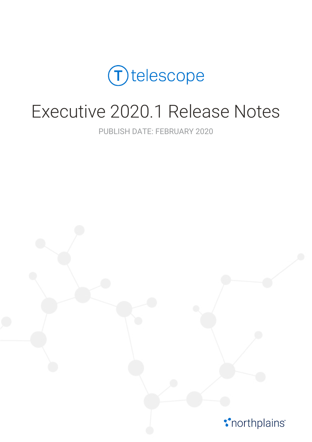

# Executive 2020.1 Release Notes

PUBLISH DATE: FEBRUARY 2020

*\*northplains*<sup>\*</sup>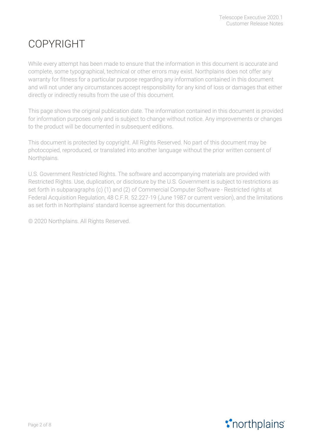# COPYRIGHT

While every attempt has been made to ensure that the information in this document is accurate and complete, some typographical, technical or other errors may exist. Northplains does not offer any warranty for fitness for a particular purpose regarding any information contained in this document and will not under any circumstances accept responsibility for any kind of loss or damages that either directly or indirectly results from the use of this document.

This page shows the original publication date. The information contained in this document is provided for information purposes only and is subject to change without notice. Any improvements or changes to the product will be documented in subsequent editions.

This document is protected by copyright. All Rights Reserved. No part of this document may be photocopied, reproduced, or translated into another language without the prior written consent of Northplains.

U.S. Government Restricted Rights. The software and accompanying materials are provided with Restricted Rights. Use, duplication, or disclosure by the U.S. Government is subject to restrictions as set forth in subparagraphs (c) (1) and (2) of Commercial Computer Software - Restricted rights at Federal Acquisition Regulation, 48 C.F.R. 52.227-19 (June 1987 or current version), and the limitations as set forth in Northplains' standard license agreement for this documentation.

© 2020 Northplains. All Rights Reserved.

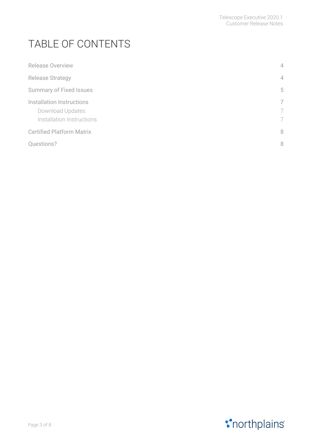# TABLE OF CONTENTS

| <b>Release Overview</b>                                                    | $\overline{4}$ |
|----------------------------------------------------------------------------|----------------|
| <b>Release Strategy</b>                                                    | $\overline{4}$ |
| <b>Summary of Fixed Issues</b>                                             | 5              |
| Installation Instructions<br>Download Updates<br>Installation Instructions | 7<br>7<br>7    |
| <b>Certified Platform Matrix</b>                                           | 8              |
| Questions?                                                                 | 8              |

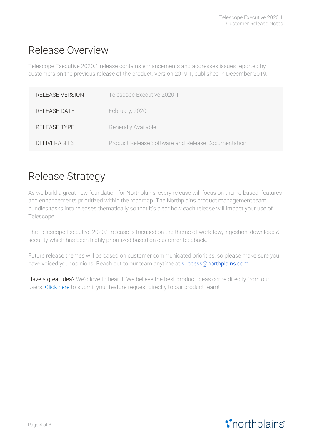### <span id="page-3-0"></span>Release Overview

Telescope Executive 2020.1 release contains enhancements and addresses issues reported by customers on the previous release of the product, Version 2019.1, published in December 2019.

| <b>RELEASE VERSION</b> | Telescope Executive 2020.1                         |
|------------------------|----------------------------------------------------|
| REI FASE DATE          | February, 2020                                     |
| REI FASE TYPE          | Generally Available                                |
| <b>DELIVERABLES</b>    | Product Release Software and Release Documentation |

### <span id="page-3-1"></span>Release Strategy

As we build a great new foundation for Northplains, every release will focus on theme-based features and enhancements prioritized within the roadmap. The Northplains product management team bundles tasks into releases thematically so that it's clear how each release will impact your use of Telescope.

The Telescope Executive 2020.1 release is focused on the theme of workflow, ingestion, download & security which has been highly prioritized based on customer feedback.

Future release themes will be based on customer communicated priorities, so please make sure you have voiced your opinions. Reach out to our team anytime at **[success@northplains.com](mailto:success@northplains.com)**.

Have a great idea? We'd love to hear it! We believe the best product ideas come directly from our users. [Click](https://app.smartsheet.com/b/form/fecfa5c80382454ebbcd39ceb09e8f7b) here to submit your feature request directly to our product team!

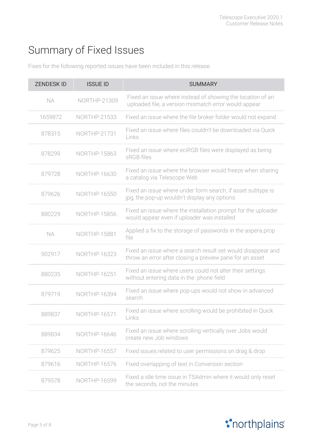# <span id="page-4-0"></span>Summary of Fixed Issues

Fixes for the following reported issues have been included in this release.

| <b>ZENDESKID</b> | <b>ISSUE ID</b>     | <b>SUMMARY</b>                                                                                                           |
|------------------|---------------------|--------------------------------------------------------------------------------------------------------------------------|
| <b>NA</b>        | NORTHP-21309        | Fixed an issue where instead of showing the location of an<br>uploaded file, a version mismatch error would appear       |
| 1659872          | <b>NORTHP-21533</b> | Fixed an issue where the file broker folder would not expand                                                             |
| 878315           | <b>NORTHP-21731</b> | Fixed an issue where files couldn't be downloaded via Quick<br>Links                                                     |
| 878299           | NORTHP-15863        | Flxed an issue where eciRGB files were displayed as being<br>sRGB files                                                  |
| 879728           | NORTHP-16630        | Fixed an issue where the browser would freeze when sharing<br>a catalog via Telescope Web                                |
| 879626           | <b>NORTHP-16550</b> | Fixed an issue where under form search, if asset subtype is<br>jpg, the pop-up wouldn't display any options              |
| 880229           | <b>NORTHP-15856</b> | Fixed an issue where the installation prompt for the uploader<br>would appear even if uploader was installed             |
| <b>NA</b>        | <b>NORTHP-15881</b> | Applied a fix to the storage of passwords in the aspera.prop<br>file                                                     |
| 902917           | <b>NORTHP-16323</b> | Fixed an issue where a search result set would disappear and<br>throw an error after closing a preview pane for an asset |
| 880235           | NORTHP-16251        | Fixed an issue where users could not alter their settings<br>without entering data in the phone field                    |
| 879719           | NORTHP-16394        | Flxed an issue where pop-ups would not show in advanced<br>search                                                        |
| 889837           | <b>NORTHP-16571</b> | Fixed an issue where scrolling would be prohibited in Quick<br>Links                                                     |
| 889834           | NORTHP-16646        | Fixed an issue where scrolling vertically over Jobs would<br>create new Job windows                                      |
| 879625           | <b>NORTHP-16557</b> | Fixed issues related to user permissions on drag & drop                                                                  |
| 879616           | NORTHP-16576        | Fixed overlapping of text in Conversion section                                                                          |
| 879578           | NORTHP-16599        | Fixed a idle time issue in TSAdmin where it would only reset<br>the seconds, not the minutes                             |

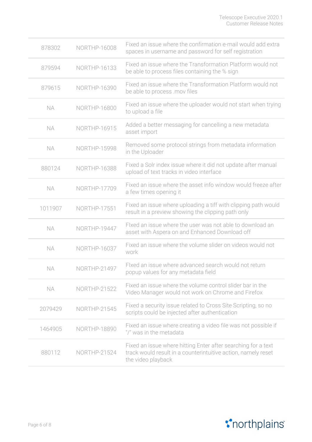| 878302    | NORTHP-16008        | Fixed an issue where the confirmation e-mail would add extra<br>spaces in username and password for self registration                                |
|-----------|---------------------|------------------------------------------------------------------------------------------------------------------------------------------------------|
| 879594    | <b>NORTHP-16133</b> | Fixed an issue where the Transformation Platform would not<br>be able to process files containing the % sign                                         |
| 879615    | NORTHP-16390        | Fixed an issue where the Transformation Platform would not<br>be able to process .mov files                                                          |
| <b>NA</b> | NORTHP-16800        | Fixed an issue where the uploader would not start when trying<br>to upload a file                                                                    |
| <b>NA</b> | NORTHP-16915        | Added a better messaging for cancelling a new metadata<br>asset import                                                                               |
| <b>NA</b> | <b>NORTHP-15998</b> | Removed some protocol strings from metadata information<br>in the Uploader                                                                           |
| 880124    | <b>NORTHP-16388</b> | Fixed a Solr index issue where it did not update after manual<br>upload of text tracks in video interface                                            |
| <b>NA</b> | NORTHP-17709        | Fixed an issue where the asset info window would freeze after<br>a few times opening it                                                              |
| 1011907   | <b>NORTHP-17551</b> | Fixed an issue where uploading a tiff with clipping path would<br>result in a preview showing the clipping path only                                 |
| <b>NA</b> | <b>NORTHP-19447</b> | Fixed an issue where the user was not able to download an<br>asset with Aspera on and Enhanced Download off                                          |
| <b>NA</b> | <b>NORTHP-16037</b> | Fixed an issue where the volume slider on videos would not<br>work                                                                                   |
| NA        | NORTHP-21497        | Flxed an issue where advanced search would not return<br>popup values for any metadata field                                                         |
| <b>NA</b> | <b>NORTHP-21522</b> | Fixed an issue where the volume control slider bar in the<br>Video Manager would not work on Chrome and Firefox                                      |
| 2079429   | <b>NORTHP-21545</b> | Fixed a security issue related to Cross Site Scripting, so no<br>scripts could be injected after authentication                                      |
| 1464905   | <b>NORTHP-18890</b> | Fixed an issue where creating a video file was not possible if<br>"/" was in the metadata                                                            |
| 880112    | <b>NORTHP-21524</b> | Fixed an issue where hitting Enter after searching for a text<br>track would result in a counterintuitive action, namely reset<br>the video playback |

# **\***northplains\*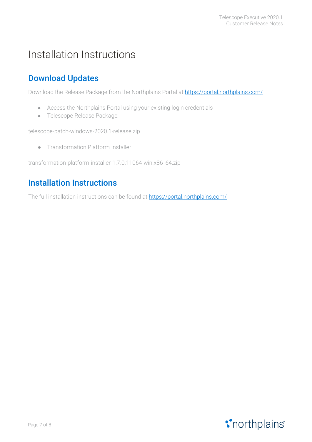# <span id="page-6-0"></span>Installation Instructions

#### <span id="page-6-1"></span>Download Updates

Download the Release Package from the Northplains Portal at [https://portal.northplains.com/](http://portal.northplains.com/)

- Access the Northplains Portal using your existing login credentials
- Telescope Release Package:

telescope-patch-windows-2020.1-release.zip

● Transformation Platform Installer

<span id="page-6-2"></span>transformation-platform-installer-1.7.0.11064-win.x86\_64.zip

#### Installation Instructions

The full installation instructions can be found at [https://portal.northplains.com/](http://portal.northplains.com/)